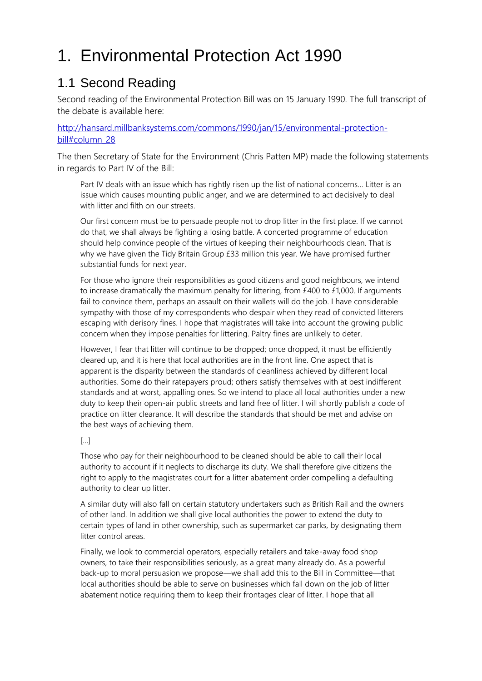# 1. Environmental Protection Act 1990

### 1.1 Second Reading

Second reading of the Environmental Protection Bill was on 15 January 1990. The full transcript of the debate is available here:

[http://hansard.millbanksystems.com/commons/1990/jan/15/environmental-protection](http://hansard.millbanksystems.com/commons/1990/jan/15/environmental-protection-bill#column_28)[bill#column\\_28](http://hansard.millbanksystems.com/commons/1990/jan/15/environmental-protection-bill#column_28)

The then Secretary of State for the Environment (Chris Patten MP) made the following statements in regards to Part IV of the Bill:

Part IV deals with an issue which has rightly risen up the list of national concerns… Litter is an issue which causes mounting public anger, and we are determined to act decisively to deal with litter and filth on our streets.

Our first concern must be to persuade people not to drop litter in the first place. If we cannot do that, we shall always be fighting a losing battle. A concerted programme of education should help convince people of the virtues of keeping their neighbourhoods clean. That is why we have given the Tidy Britain Group £33 million this year. We have promised further substantial funds for next year.

For those who ignore their responsibilities as good citizens and good neighbours, we intend to increase dramatically the maximum penalty for littering, from £400 to £1,000. If arguments fail to convince them, perhaps an assault on their wallets will do the job. I have considerable sympathy with those of my correspondents who despair when they read of convicted litterers escaping with derisory fines. I hope that magistrates will take into account the growing public concern when they impose penalties for littering. Paltry fines are unlikely to deter.

However, I fear that litter will continue to be dropped; once dropped, it must be efficiently cleared up, and it is here that local authorities are in the front line. One aspect that is apparent is the disparity between the standards of cleanliness achieved by different local authorities. Some do their ratepayers proud; others satisfy themselves with at best indifferent standards and at worst, appalling ones. So we intend to place all local authorities under a new duty to keep their open-air public streets and land free of litter. I will shortly publish a code of practice on litter clearance. It will describe the standards that should be met and advise on the best ways of achieving them.

#### […]

Those who pay for their neighbourhood to be cleaned should be able to call their local authority to account if it neglects to discharge its duty. We shall therefore give citizens the right to apply to the magistrates court for a litter abatement order compelling a defaulting authority to clear up litter.

A similar duty will also fall on certain statutory undertakers such as British Rail and the owners of other land. In addition we shall give local authorities the power to extend the duty to certain types of land in other ownership, such as supermarket car parks, by designating them litter control areas.

Finally, we look to commercial operators, especially retailers and take-away food shop owners, to take their responsibilities seriously, as a great many already do. As a powerful back-up to moral persuasion we propose—we shall add this to the Bill in Committee—that local authorities should be able to serve on businesses which fall down on the job of litter abatement notice requiring them to keep their frontages clear of litter. I hope that all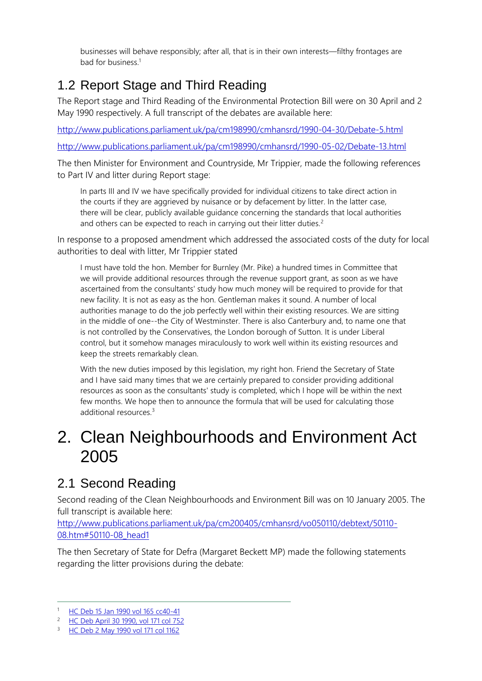businesses will behave responsibly; after all, that is in their own interests—filthy frontages are bad for business.<sup>1</sup>

### 1.2 Report Stage and Third Reading

The Report stage and Third Reading of the Environmental Protection Bill were on 30 April and 2 May 1990 respectively. A full transcript of the debates are available here:

<http://www.publications.parliament.uk/pa/cm198990/cmhansrd/1990-04-30/Debate-5.html>

<http://www.publications.parliament.uk/pa/cm198990/cmhansrd/1990-05-02/Debate-13.html>

The then Minister for Environment and Countryside, Mr Trippier, made the following references to Part IV and litter during Report stage:

In parts III and IV we have specifically provided for individual citizens to take direct action in the courts if they are aggrieved by nuisance or by defacement by litter. In the latter case, there will be clear, publicly available guidance concerning the standards that local authorities and others can be expected to reach in carrying out their litter duties.<sup>2</sup>

In response to a proposed amendment which addressed the associated costs of the duty for local authorities to deal with litter, Mr Trippier stated

I must have told the hon. Member for Burnley (Mr. Pike) a hundred times in Committee that we will provide additional resources through the revenue support grant, as soon as we have ascertained from the consultants' study how much money will be required to provide for that new facility. It is not as easy as the hon. Gentleman makes it sound. A number of local authorities manage to do the job perfectly well within their existing resources. We are sitting in the middle of one--the City of Westminster. There is also Canterbury and, to name one that is not controlled by the Conservatives, the London borough of Sutton. It is under Liberal control, but it somehow manages miraculously to work well within its existing resources and keep the streets remarkably clean.

With the new duties imposed by this legislation, my right hon. Friend the Secretary of State and I have said many times that we are certainly prepared to consider providing additional resources as soon as the consultants' study is completed, which I hope will be within the next few months. We hope then to announce the formula that will be used for calculating those additional resources.<sup>3</sup>

## 2. Clean Neighbourhoods and Environment Act 2005

### 2.1 Second Reading

Second reading of the Clean Neighbourhoods and Environment Bill was on 10 January 2005. The full transcript is available here:

[http://www.publications.parliament.uk/pa/cm200405/cmhansrd/vo050110/debtext/50110-](http://www.publications.parliament.uk/pa/cm200405/cmhansrd/vo050110/debtext/50110-08.htm#50110-08_head1) [08.htm#50110-08\\_head1](http://www.publications.parliament.uk/pa/cm200405/cmhansrd/vo050110/debtext/50110-08.htm#50110-08_head1)

The then Secretary of State for Defra (Margaret Beckett MP) made the following statements regarding the litter provisions during the debate:

<sup>1</sup> [HC Deb 15 Jan 1990 vol 165 cc40-41](http://hansard.millbanksystems.com/commons/1990/jan/15/environmental-protection-bill#column_41)

<sup>2</sup> [HC Deb April 30 1990, vol 171 col 752](http://www.publications.parliament.uk/pa/cm198990/cmhansrd/1990-04-30/Debate-5.html)

<sup>&</sup>lt;sup>3</sup> [HC Deb 2 May 1990 vol 171 col 1162](http://www.publications.parliament.uk/pa/cm198990/cmhansrd/1990-05-02/Debate-17.html)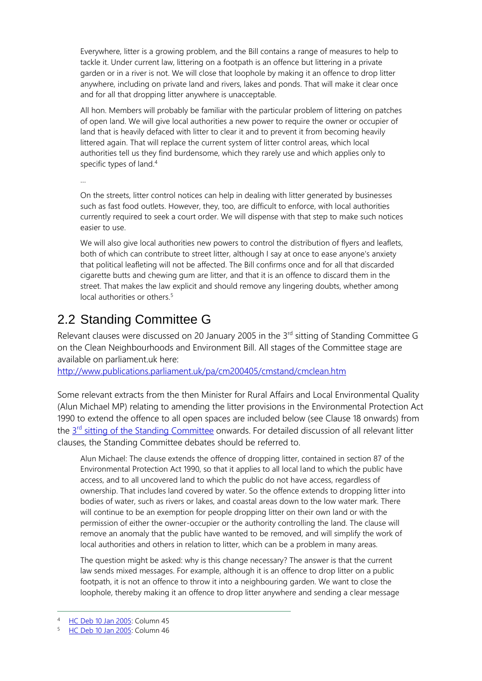Everywhere, litter is a growing problem, and the Bill contains a range of measures to help to tackle it. Under current law, littering on a footpath is an offence but littering in a private garden or in a river is not. We will close that loophole by making it an offence to drop litter anywhere, including on private land and rivers, lakes and ponds. That will make it clear once and for all that dropping litter anywhere is unacceptable.

All hon. Members will probably be familiar with the particular problem of littering on patches of open land. We will give local authorities a new power to require the owner or occupier of land that is heavily defaced with litter to clear it and to prevent it from becoming heavily littered again. That will replace the current system of litter control areas, which local authorities tell us they find burdensome, which they rarely use and which applies only to specific types of land.<sup>4</sup>

…

On the streets, litter control notices can help in dealing with litter generated by businesses such as fast food outlets. However, they, too, are difficult to enforce, with local authorities currently required to seek a court order. We will dispense with that step to make such notices easier to use.

We will also give local authorities new powers to control the distribution of flyers and leaflets, both of which can contribute to street litter, although I say at once to ease anyone's anxiety that political leafleting will not be affected. The Bill confirms once and for all that discarded cigarette butts and chewing gum are litter, and that it is an offence to discard them in the street. That makes the law explicit and should remove any lingering doubts, whether among local authorities or others.<sup>5</sup>

### 2.2 Standing Committee G

Relevant clauses were discussed on 20 January 2005 in the 3<sup>rd</sup> sitting of Standing Committee G on the Clean Neighbourhoods and Environment Bill. All stages of the Committee stage are available on parliament.uk here:

<http://www.publications.parliament.uk/pa/cm200405/cmstand/cmclean.htm>

Some relevant extracts from the then Minister for Rural Affairs and Local Environmental Quality (Alun Michael MP) relating to amending the litter provisions in the Environmental Protection Act 1990 to extend the offence to all open spaces are included below (see Clause 18 onwards) from the 3<sup>rd</sup> [sitting of the Standing Committee](http://www.publications.parliament.uk/pa/cm200405/cmstand/cmclean.htm) onwards. For detailed discussion of all relevant litter clauses, the Standing Committee debates should be referred to.

Alun Michael: The clause extends the offence of dropping litter, contained in section 87 of the Environmental Protection Act 1990, so that it applies to all local land to which the public have access, and to all uncovered land to which the public do not have access, regardless of ownership. That includes land covered by water. So the offence extends to dropping litter into bodies of water, such as rivers or lakes, and coastal areas down to the low water mark. There will continue to be an exemption for people dropping litter on their own land or with the permission of either the owner-occupier or the authority controlling the land. The clause will remove an anomaly that the public have wanted to be removed, and will simplify the work of local authorities and others in relation to litter, which can be a problem in many areas.

The question might be asked: why is this change necessary? The answer is that the current law sends mixed messages. For example, although it is an offence to drop litter on a public footpath, it is not an offence to throw it into a neighbouring garden. We want to close the loophole, thereby making it an offence to drop litter anywhere and sending a clear message

<sup>4</sup> [HC Deb 10 Jan 2005:](http://www.publications.parliament.uk/pa/cm200405/cmhansrd/vo050110/debtext/50110-08.htm#50110-08_head1) Column 45

[HC Deb 10 Jan 2005:](http://www.publications.parliament.uk/pa/cm200405/cmhansrd/vo050110/debtext/50110-08.htm#50110-08_head1) Column 46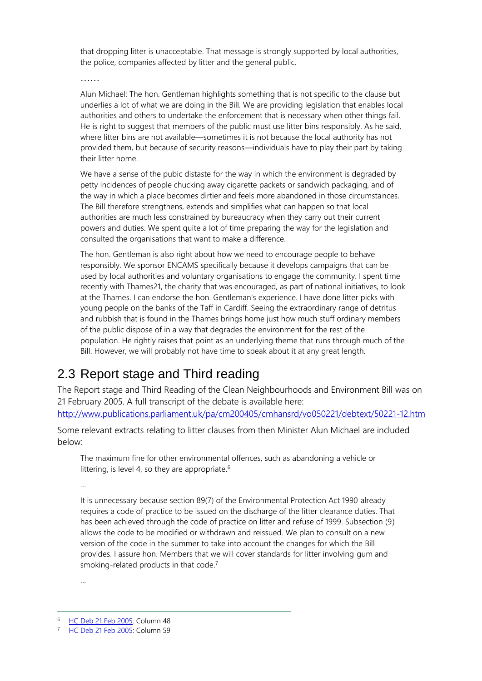that dropping litter is unacceptable. That message is strongly supported by local authorities, the police, companies affected by litter and the general public.

……

Alun Michael: The hon. Gentleman highlights something that is not specific to the clause but underlies a lot of what we are doing in the Bill. We are providing legislation that enables local authorities and others to undertake the enforcement that is necessary when other things fail. He is right to suggest that members of the public must use litter bins responsibly. As he said, where litter bins are not available—sometimes it is not because the local authority has not provided them, but because of security reasons—individuals have to play their part by taking their litter home.

We have a sense of the pubic distaste for the way in which the environment is degraded by petty incidences of people chucking away cigarette packets or sandwich packaging, and of the way in which a place becomes dirtier and feels more abandoned in those circumstances. The Bill therefore strengthens, extends and simplifies what can happen so that local authorities are much less constrained by bureaucracy when they carry out their current powers and duties. We spent quite a lot of time preparing the way for the legislation and consulted the organisations that want to make a difference.

The hon. Gentleman is also right about how we need to encourage people to behave responsibly. We sponsor ENCAMS specifically because it develops campaigns that can be used by local authorities and voluntary organisations to engage the community. I spent time recently with Thames21, the charity that was encouraged, as part of national initiatives, to look at the Thames. I can endorse the hon. Gentleman's experience. I have done litter picks with young people on the banks of the Taff in Cardiff. Seeing the extraordinary range of detritus and rubbish that is found in the Thames brings home just how much stuff ordinary members of the public dispose of in a way that degrades the environment for the rest of the population. He rightly raises that point as an underlying theme that runs through much of the Bill. However, we will probably not have time to speak about it at any great length.

### 2.3 Report stage and Third reading

The Report stage and Third Reading of the Clean Neighbourhoods and Environment Bill was on 21 February 2005. A full transcript of the debate is available here: <http://www.publications.parliament.uk/pa/cm200405/cmhansrd/vo050221/debtext/50221-12.htm>

Some relevant extracts relating to litter clauses from then Minister Alun Michael are included below:

The maximum fine for other environmental offences, such as abandoning a vehicle or littering, is level 4, so they are appropriate.<sup>6</sup>

…

It is unnecessary because section 89(7) of the Environmental Protection Act 1990 already requires a code of practice to be issued on the discharge of the litter clearance duties. That has been achieved through the code of practice on litter and refuse of 1999. Subsection (9) allows the code to be modified or withdrawn and reissued. We plan to consult on a new version of the code in the summer to take into account the changes for which the Bill provides. I assure hon. Members that we will cover standards for litter involving gum and smoking-related products in that code.<sup>7</sup>

…

[HC Deb 21 Feb 2005:](http://www.publications.parliament.uk/pa/cm200405/cmhansrd/vo050221/debtext/50221-12.htm) Column 48

[HC Deb 21 Feb 2005:](http://www.publications.parliament.uk/pa/cm200405/cmhansrd/vo050221/debtext/50221-12.htm) Column 59